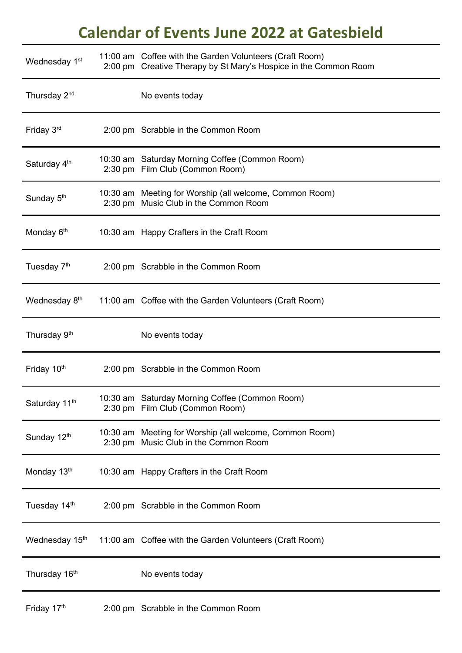## **Calendar of Events June 2022 at Gatesbield**

| Wednesday 1 <sup>st</sup>  | 11:00 am Coffee with the Garden Volunteers (Craft Room)<br>2:00 pm Creative Therapy by St Mary's Hospice in the Common Room |
|----------------------------|-----------------------------------------------------------------------------------------------------------------------------|
| Thursday 2 <sup>nd</sup>   | No events today                                                                                                             |
| Friday 3rd                 | 2:00 pm Scrabble in the Common Room                                                                                         |
| Saturday 4 <sup>th</sup>   | 10:30 am Saturday Morning Coffee (Common Room)<br>2:30 pm Film Club (Common Room)                                           |
| Sunday 5 <sup>th</sup>     | 10:30 am Meeting for Worship (all welcome, Common Room)<br>2:30 pm Music Club in the Common Room                            |
| Monday 6 <sup>th</sup>     | 10:30 am Happy Crafters in the Craft Room                                                                                   |
| Tuesday 7 <sup>th</sup>    | 2:00 pm Scrabble in the Common Room                                                                                         |
| Wednesday 8 <sup>th</sup>  | 11:00 am Coffee with the Garden Volunteers (Craft Room)                                                                     |
| Thursday 9 <sup>th</sup>   | No events today                                                                                                             |
| Friday 10th                | 2:00 pm Scrabble in the Common Room                                                                                         |
| Saturday 11 <sup>th</sup>  | 10:30 am Saturday Morning Coffee (Common Room)<br>2:30 pm Film Club (Common Room)                                           |
| Sunday 12th                | 10:30 am Meeting for Worship (all welcome, Common Room)<br>2:30 pm Music Club in the Common Room                            |
| Monday 13th                | 10:30 am Happy Crafters in the Craft Room                                                                                   |
| Tuesday 14th               | 2:00 pm Scrabble in the Common Room                                                                                         |
| Wednesday 15 <sup>th</sup> | 11:00 am Coffee with the Garden Volunteers (Craft Room)                                                                     |
| Thursday 16 <sup>th</sup>  | No events today                                                                                                             |
| Friday 17th                | 2:00 pm Scrabble in the Common Room                                                                                         |